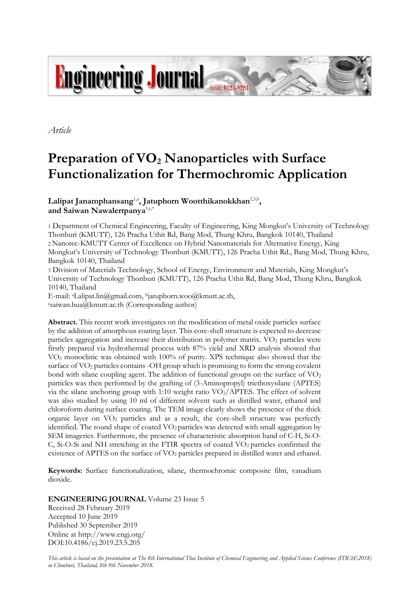

*Article*

# **Preparation of VO<sup>2</sup> Nanoparticles with Surface Functionalization for Thermochromic Application**

**Lalipat Janamphansang**1,a **, Jatuphorn Wootthikanokkhan**2,3,b **, and Saiwan Nawalertpanya**1,c,\*

1 Department of Chemical Engineering, Faculty of Engineering, King Mongkut's University of Technology Thonburi (KMUTT), 126 Pracha Uthit Rd, Bang Mod, Thung Khru, Bangkok 10140, Thailand 2 Nanotec-KMUTT Center of Excellence on Hybrid Nanomaterials for Alternative Energy, King Mongkut's University of Technology Thonburi (KMUTT), 126 Pracha Uthit Rd., Bang Mod, Thung Khru, Bangkok 10140, Thailand

3 Division of Materials Technology, School of Energy, Environment and Materials, King Mongkut's University of Technology Thonburi (KMUTT), 126 Pracha Uthit Rd, Bang Mod, Thung Khru, Bangkok 10140, Thailand

E-mail: aLalipat.lin@gmail.com, bjatuphorn.woo@kmutt.ac.th,  $csaiwan.bua@kmutt.ac.th$  (Corresponding author)

**Abstract.** This recent work investigates on the modification of metal oxide particles surface by the addition of amorphous coating layer. This core-shell structure is expected to decrease particles aggregation and increase their distribution in polymer matrix. VO<sub>2</sub> particles were firstly prepared via hydrothermal process with 87% yield and XRD analysis showed that VO<sup>2</sup> monoclinic was obtained with 100% of purity. XPS technique also showed that the surface of VO<sup>2</sup> particles contains -OH group which is promising to form the strong covalent bond with silane coupling agent. The addition of functional groups on the surface of  $VO<sub>2</sub>$ particles was then performed by the grafting of (3-Aminopropyl) triethoxysilane (APTES) via the silane anchoring group with 1:10 weight ratio  $VO_2/APTES$ . The effect of solvent was also studied by using 10 ml of different solvent such as distilled water, ethanol and chloroform during surface coating. The TEM image clearly shows the presence of the thick organic layer on  $VO<sub>2</sub>$  particles and as a result, the core-shell structure was perfectly identified. The round shape of coated  $VO<sub>2</sub>$  particles was detected with small aggregation by SEM imageries. Furthermore, the presence of characteristic absorption band of C-H, Si-O-C, Si-O-Si and NH stretching in the FTIR spectra of coated  $VO<sub>2</sub>$  particles confirmed the existence of APTES on the surface of VO<sub>2</sub> particles prepared in distilled water and ethanol.

**Keywords:** Surface functionalization, silane, thermochromic composite film, vanadium dioxide.

**ENGINEERING JOURNAL** Volume 23 Issue 5

Received 28 February 2019 Accepted 10 June 2019 Published 30 September 2019 Online at http://www.engj.org/ DOI:10.4186/ej.2019.23.5.205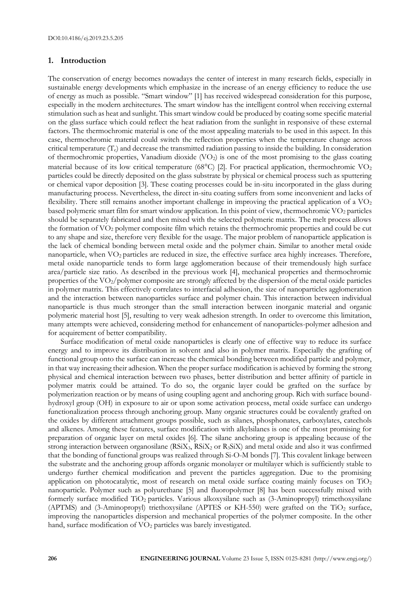## **1. Introduction**

The conservation of energy becomes nowadays the center of interest in many research fields, especially in sustainable energy developments which emphasize in the increase of an energy efficiency to reduce the use of energy as much as possible. "Smart window" [1] has received widespread consideration for this purpose, especially in the modern architectures. The smart window has the intelligent control when receiving external stimulation such as heat and sunlight. This smart window could be produced by coating some specific material on the glass surface which could reflect the heat radiation from the sunlight in responsive of these external factors. The thermochromic material is one of the most appealing materials to be used in this aspect. In this case, thermochromic material could switch the reflection properties when the temperature change across critical temperature (Tc) and decrease the transmitted radiation passing to inside the building. In consideration of thermochromic properties, Vanadium dioxide (VO<sub>2</sub>) is one of the most promising to the glass coating material because of its low critical temperature (68 $^{\circ}$ C) [2]. For practical application, thermochromic VO<sub>2</sub> particles could be directly deposited on the glass substrate by physical or chemical process such as sputtering or chemical vapor deposition [3]. These coating processes could be in-situ incorporated in the glass during manufacturing process. Nevertheless, the direct in-situ coating suffers from some inconvenient and lacks of flexibility. There still remains another important challenge in improving the practical application of a  $VO<sub>2</sub>$ based polymeric smart film for smart window application. In this point of view, thermochromic VO<sub>2</sub> particles should be separately fabricated and then mixed with the selected polymeric matrix. The melt process allows the formation of VO<sup>2</sup> polymer composite film which retains the thermochromic properties and could be cut to any shape and size, therefore very flexible for the usage. The major problem of nanoparticle application is the lack of chemical bonding between metal oxide and the polymer chain. Similar to another metal oxide nanoparticle, when VO<sub>2</sub> particles are reduced in size, the effective surface area highly increases. Therefore, metal oxide nanoparticle tends to form large agglomeration because of their tremendously high surface area/particle size ratio. As described in the previous work [4], mechanical properties and thermochromic properties of the VO2/polymer composite are strongly affected by the dispersion of the metal oxide particles in polymer matrix. This effectively correlates to interfacial adhesion, the size of nanoparticles agglomeration and the interaction between nanoparticles surface and polymer chain. This interaction between individual nanoparticle is thus much stronger than the small interaction between inorganic material and organic polymeric material host [5], resulting to very weak adhesion strength. In order to overcome this limitation, many attempts were achieved, considering method for enhancement of nanoparticles-polymer adhesion and for acquirement of better compatibility.

Surface modification of metal oxide nanoparticles is clearly one of effective way to reduce its surface energy and to improve its distribution in solvent and also in polymer matrix. Especially the grafting of functional group onto the surface can increase the chemical bonding between modified particle and polymer, in that way increasing their adhesion. When the proper surface modification is achieved by forming the strong physical and chemical interaction between two phases, better distribution and better affinity of particle in polymer matrix could be attained. To do so, the organic layer could be grafted on the surface by polymerization reaction or by means of using coupling agent and anchoring group. Rich with surface boundhydroxyl group (OH) in exposure to air or upon some activation process, metal oxide surface can undergo functionalization process through anchoring group. Many organic structures could be covalently grafted on the oxides by different attachment groups possible, such as silanes, phosphonates, carboxylates, catechols and alkenes. Among these features, surface modification with alkylsilanes is one of the most promising for preparation of organic layer on metal oxides [6]. The silane anchoring group is appealing because of the strong interaction between organosilane (RSiX<sub>3</sub>, RSiX<sub>2</sub> or R<sub>3</sub>SiX) and metal oxide and also it was confirmed that the bonding of functional groups was realized through Si-O-M bonds [7]. This covalent linkage between the substrate and the anchoring group affords organic monolayer or multilayer which is sufficiently stable to undergo further chemical modification and prevent the particles aggregation. Due to the promising application on photocatalytic, most of research on metal oxide surface coating mainly focuses on TiO<sub>2</sub> nanoparticle. Polymer such as polyurethane [5] and fluoropolymer [8] has been successfully mixed with formerly surface modified TiO2 particles. Various alkoxysilane such as (3-Aminopropyl) trimethoxysilane (APTMS) and (3-Aminopropyl) triethoxysilane (APTES or KH-550) were grafted on the  $TiO<sub>2</sub>$  surface, improving the nanoparticles dispersion and mechanical properties of the polymer composite. In the other hand, surface modification of VO<sub>2</sub> particles was barely investigated.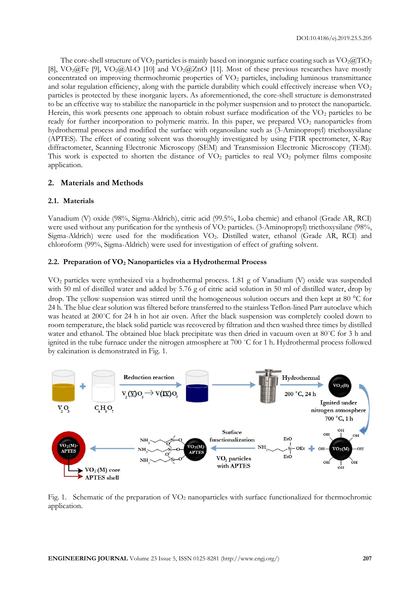The core-shell structure of  $\rm VO_2$  particles is mainly based on inorganic surface coating such as  $\rm VO_2@TiO_2$ [8],  $\text{VO}_2(\widehat{a})$  Fe [9],  $\text{VO}_2(\widehat{a})$  Al-O [10] and  $\text{VO}_2(\widehat{a})$  ZnO [11]. Most of these previous researches have mostly concentrated on improving thermochromic properties of VO<sup>2</sup> particles, including luminous transmittance and solar regulation efficiency, along with the particle durability which could effectively increase when  $VO<sub>2</sub>$ particles is protected by these inorganic layers. As aforementioned, the core-shell structure is demonstrated to be an effective way to stabilize the nanoparticle in the polymer suspension and to protect the nanoparticle. Herein, this work presents one approach to obtain robust surface modification of the VO<sub>2</sub> particles to be ready for further incorporation to polymeric matrix. In this paper, we prepared VO<sub>2</sub> nanoparticles from hydrothermal process and modified the surface with organosilane such as (3-Aminopropyl) triethoxysilane (APTES). The effect of coating solvent was thoroughly investigated by using FTIR spectrometer, X-Ray diffractometer, Scanning Electronic Microscopy (SEM) and Transmission Electronic Microscopy (TEM). This work is expected to shorten the distance of  $VO<sub>2</sub>$  particles to real  $VO<sub>2</sub>$  polymer films composite application.

# **2. Materials and Methods**

#### **2.1. Materials**

Vanadium (V) oxide (98%, Sigma-Aldrich), citric acid (99.5%, Loba chemie) and ethanol (Grade AR, RCI) were used without any purification for the synthesis of VO<sub>2</sub> particles. (3-Aminopropyl) triethoxysilane (98%, Sigma-Aldrich) were used for the modification VO2. Distilled water, ethanol (Grade AR, RCI) and chloroform (99%, Sigma-Aldrich) were used for investigation of effect of grafting solvent.

#### **2.2. Preparation of VO<sup>2</sup> Nanoparticles via a Hydrothermal Process**

VO<sup>2</sup> particles were synthesized via a hydrothermal process. 1.81 g of Vanadium (V) oxide was suspended with 50 ml of distilled water and added by 5.76 g of citric acid solution in 50 ml of distilled water, drop by drop. The yellow suspension was stirred until the homogeneous solution occurs and then kept at 80  $^{\circ}$ C for 24 h. The blue clear solution was filtered before transferred to the stainless Teflon-lined Parr autoclave which was heated at 200˚C for 24 h in hot air oven. After the black suspension was completely cooled down to room temperature, the black solid particle was recovered by filtration and then washed three times by distilled water and ethanol. The obtained blue black precipitate was then dried in vacuum oven at 80°C for 3 h and ignited in the tube furnace under the nitrogen atmosphere at 700 ˚C for 1 h. Hydrothermal process followed by calcination is demonstrated in Fig. 1.



Fig. 1. Schematic of the preparation of VO<sub>2</sub> nanoparticles with surface functionalized for thermochromic application.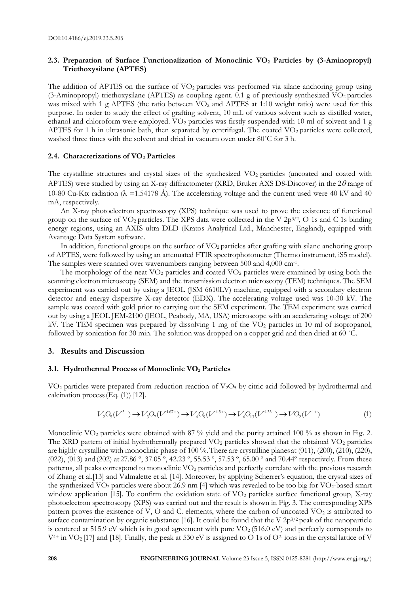# **2.3. Preparation of Surface Functionalization of Monoclinic VO<sup>2</sup> Particles by (3-Aminopropyl) Triethoxysilane (APTES)**

The addition of APTES on the surface of  $\rm VO_2$  particles was performed via silane anchoring group using (3-Aminopropyl) triethoxysilane (APTES) as coupling agent. 0.1 g of previously synthesized  $VO<sub>2</sub>$  particles was mixed with 1 g APTES (the ratio between  $\overline{VO_2}$  and APTES at 1:10 weight ratio) were used for this purpose. In order to study the effect of grafting solvent, 10 mL of various solvent such as distilled water, ethanol and chloroform were employed. VO<sub>2</sub> particles was firstly suspended with 10 ml of solvent and 1 g APTES for 1 h in ultrasonic bath, then separated by centrifugal. The coated  $VO<sub>2</sub>$  particles were collected, washed three times with the solvent and dried in vacuum oven under 80˚C for 3 h.

#### **2.4. Characterizations of VO<sup>2</sup> Particles**

The crystalline structures and crystal sizes of the synthesized VO<sub>2</sub> particles (uncoated and coated with APTES) were studied by using an X-ray diffractometer (XRD, Bruker AXS D8-Discover) in the  $2\theta$  range of 10-80 Cu-K $\alpha$  radiation ( $\lambda$  =1.54178 Å). The accelerating voltage and the current used were 40 kV and 40 mA, respectively.

An X-ray photoelectron spectroscopy (XPS) technique was used to prove the existence of functional group on the surface of  $VO_2$  particles. The XPS data were collected in the V  $2p^{3/2}$ , O 1s and C 1s binding energy regions, using an AXIS ultra DLD (Kratos Analytical Ltd., Manchester, England), equipped with Avantage Data System software.

In addition, functional groups on the surface of VO<sub>2</sub> particles after grafting with silane anchoring group of APTES, were followed by using an attenuated FTIR spectrophotometer (Thermo instrument, iS5 model). The samples were scanned over wavenumbers ranging between 500 and 4,000 cm<sup>-1</sup>.

The morphology of the neat  $VO<sub>2</sub>$  particles and coated  $VO<sub>2</sub>$  particles were examined by using both the scanning electron microscopy (SEM) and the transmission electron microscopy (TEM) techniques. The SEM experiment was carried out by using a JEOL (JSM 6610LV) machine, equipped with a secondary electron detector and energy dispersive X-ray detector (EDX). The accelerating voltage used was 10-30 kV. The sample was coated with gold prior to carrying out the SEM experiment. The TEM experiment was carried out by using a JEOL JEM-2100 (JEOL, Peabody, MA, USA) microscope with an accelerating voltage of 200 kV. The TEM specimen was prepared by dissolving 1 mg of the VO<sub>2</sub> particles in 10 ml of isopropanol, followed by sonication for 30 min. The solution was dropped on a copper grid and then dried at 60 ˚C.

# **3. Results and Discussion**

#### **3.1. Hydrothermal Process of Monoclinic VO<sup>2</sup> Particles**

VO<sub>2</sub> particles were prepared from reduction reaction of V<sub>2</sub>O<sub>5</sub> by citric acid followed by hydrothermal and calcination process(Eq. (1)) [12].

$$
V_2O_5(V^{5+}) \to V_3O_7(V^{4.67+}) \to V_4O_9(V^{4.5+}) \to V_6O_{13}(V^{4.33+}) \to VO_2(V^{4+})
$$
\n(1)

Monoclinic VO<sub>2</sub> particles were obtained with 87 % yield and the purity attained 100 % as shown in Fig. 2. The XRD pattern of initial hydrothermally prepared  $VO<sub>2</sub>$  particles showed that the obtained  $VO<sub>2</sub>$  particles are highly crystalline with monoclinic phase of 100 %.There are crystalline planes at (011), (200), (210), (220), (022), (013) and (202) at 27.86 º, 37.05 º, 42.23 º, 55.53 º, 57.53 º, 65.00 º and 70.44º respectively. From these patterns, all peaks correspond to monoclinic VO<sub>2</sub> particles and perfectly correlate with the previous research of Zhang et al.[13] and Valmalette et al. [14]. Moreover, by applying Scherrer's equation, the crystal sizes of the synthesized  $VO_2$  particles were about 26.9 nm [4] which was revealed to be too big for  $VO_2$ -based smart window application [15]. To confirm the oxidation state of  $VO<sub>2</sub>$  particles surface functional group, X-ray photoelectron spectroscopy (XPS) was carried out and the result is shown in Fig. 3. The corresponding XPS pattern proves the existence of V, O and C. elements, where the carbon of uncoated  $VO<sub>2</sub>$  is attributed to surface contamination by organic substance [16]. It could be found that the V  $2p^{3/2}$  peak of the nanoparticle is centered at 515.9 eV which is in good agreement with pure  $VO<sub>2</sub>$  (516.0 eV) and perfectly corresponds to  $V^{4+}$  in  $\text{VO}_2[17]$  and [18]. Finally, the peak at 530 eV is assigned to O 1s of O<sup>2</sup> ions in the crystal lattice of V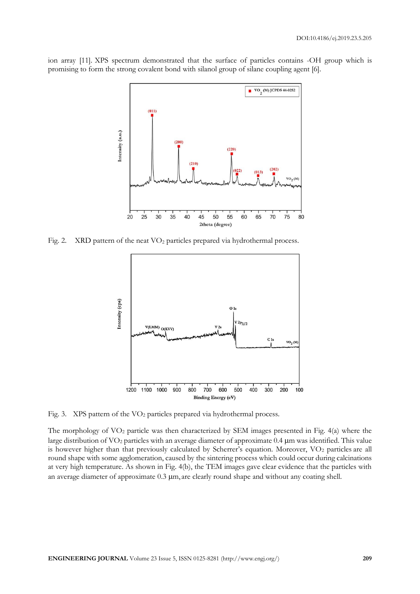ion array [11]. XPS spectrum demonstrated that the surface of particles contains -OH group which is promising to form the strong covalent bond with silanol group of silane coupling agent [6].



Fig. 2. XRD pattern of the neat VO<sub>2</sub> particles prepared via hydrothermal process.



Fig. 3. XPS pattern of the VO<sub>2</sub> particles prepared via hydrothermal process.

The morphology of  $VO<sub>2</sub>$  particle was then characterized by SEM images presented in Fig. 4(a) where the large distribution of VO<sub>2</sub> particles with an average diameter of approximate 0.4 µm was identified. This value is however higher than that previously calculated by Scherrer's equation. Moreover, VO<sub>2</sub> particles are all round shape with some agglomeration, caused by the sintering process which could occur during calcinations at very high temperature. As shown in Fig. 4(b), the TEM images gave clear evidence that the particles with an average diameter of approximate  $0.3 \mu$ m, are clearly round shape and without any coating shell.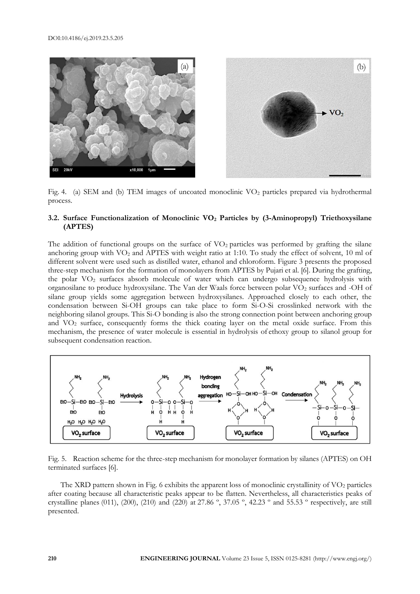

Fig. 4. (a) SEM and (b) TEM images of uncoated monoclinic  $VO<sub>2</sub>$  particles prepared via hydrothermal process.

# **3.2. Surface Functionalization of Monoclinic VO<sup>2</sup> Particles by (3-Aminopropyl) Triethoxysilane (APTES)**

The addition of functional groups on the surface of  $VO<sub>2</sub>$  particles was performed by grafting the silane anchoring group with VO<sub>2</sub> and APTES with weight ratio at 1:10. To study the effect of solvent, 10 ml of different solvent were used such as distilled water, ethanol and chloroform. Figure 3 presents the proposed three-step mechanism for the formation of monolayers from APTES by Pujari et al. [6]. During the grafting, the polar VO<sup>2</sup> surfaces absorb molecule of water which can undergo subsequence hydrolysis with organosilane to produce hydroxysilane. The Van der Waals force between polar VO<sup>2</sup> surfaces and -OH of silane group yields some aggregation between hydroxysilanes. Approached closely to each other, the condensation between Si-OH groups can take place to form Si-O-Si crosslinked network with the neighboring silanol groups. This Si-O bonding is also the strong connection point between anchoring group and VO<sup>2</sup> surface, consequently forms the thick coating layer on the metal oxide surface. From this mechanism, the presence of water molecule is essential in hydrolysis of ethoxy group to silanol group for subsequent condensation reaction.



Fig. 5. Reaction scheme for the three-step mechanism for monolayer formation by silanes (APTES) on OH terminated surfaces [6].

The XRD pattern shown in Fig. 6 exhibits the apparent loss of monoclinic crystallinity of  $\rm VO_2$  particles after coating because all characteristic peaks appear to be flatten. Nevertheless, all characteristics peaks of crystalline planes (011), (200), (210) and (220) at 27.86 º, 37.05 º, 42.23 º and 55.53 º respectively, are still presented.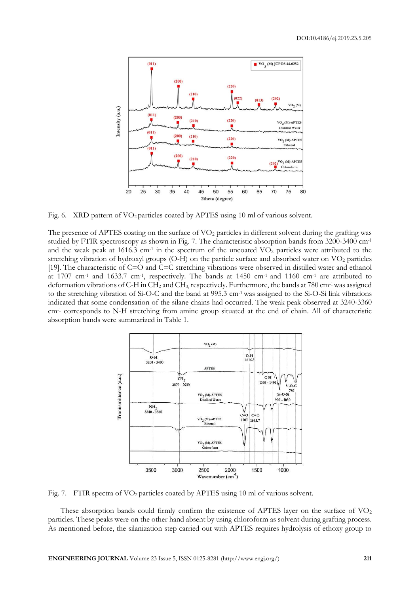

Fig. 6. XRD pattern of VO<sub>2</sub> particles coated by APTES using 10 ml of various solvent.

The presence of APTES coating on the surface of  $VO<sub>2</sub>$  particles in different solvent during the grafting was studied by FTIR spectroscopy as shown in Fig. 7. The characteristic absorption bands from 3200-3400 cm-1 and the weak peak at 1616.3 cm<sup>-1</sup> in the spectrum of the uncoated  $VO<sub>2</sub>$  particles were attributed to the stretching vibration of hydroxyl groups  $(O-H)$  on the particle surface and absorbed water on  $VO<sub>2</sub>$  particles [19]. The characteristic of C=O and C=C stretching vibrations were observed in distilled water and ethanol at 1707 cm<sup>-1</sup> and 1633.7 cm<sup>-1</sup>, respectively. The bands at 1450 cm<sup>-1</sup> and 1160 cm<sup>-1</sup> are attributed to deformation vibrations of C-H in CH<sup>2</sup> and CH3, respectively. Furthermore, the bands at 780 cm-1 was assigned to the stretching vibration of Si-O-C and the band at 995.3 cm-1 was assigned to the Si-O-Si link vibrations indicated that some condensation of the silane chains had occurred. The weak peak observed at 3240-3360 cm<sup>-1</sup> corresponds to N-H stretching from amine group situated at the end of chain. All of characteristic absorption bands were summarized in Table 1.



Fig. 7. FTIR spectra of  $VO<sub>2</sub>$  particles coated by APTES using 10 ml of various solvent.

These absorption bands could firmly confirm the existence of APTES layer on the surface of  $VO<sub>2</sub>$ particles. These peaks were on the other hand absent by using chloroform as solvent during grafting process. As mentioned before, the silanization step carried out with APTES requires hydrolysis of ethoxy group to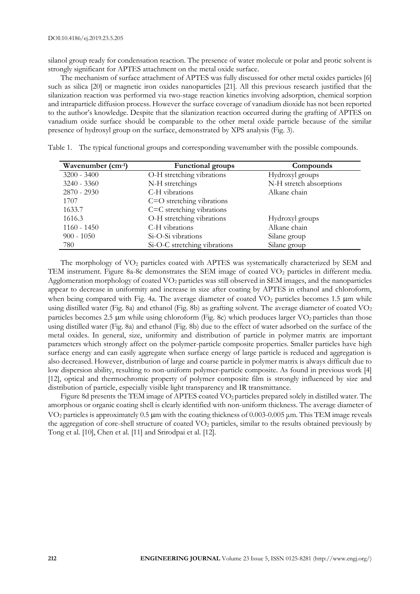silanol group ready for condensation reaction. The presence of water molecule or polar and protic solvent is strongly significant for APTES attachment on the metal oxide surface.

The mechanism of surface attachment of APTES was fully discussed for other metal oxides particles [6] such as silica [20] or magnetic iron oxides nanoparticles [21]. All this previous research justified that the silanization reaction was performed via two-stage reaction kinetics involving adsorption, chemical sorption and intraparticle diffusion process. However the surface coverage of vanadium dioxide has not been reported to the author's knowledge. Despite that the silanization reaction occurred during the grafting of APTES on vanadium oxide surface should be comparable to the other metal oxide particle because of the similar presence of hydroxyl group on the surface, demonstrated by XPS analysis (Fig. 3).

| O-H stretching vibrations<br>$3200 - 3400$<br>Hydroxyl groups<br>N-H stretch absorptions<br>$3240 - 3360$<br>N-H stretchings<br>$2870 - 2930$<br>C-H vibrations<br>Alkane chain<br>1707<br>$C = O$ stretching vibrations<br>C=C stretching vibrations<br>1633.7<br>O-H stretching vibrations<br>1616.3<br>Hydroxyl groups<br>Alkane chain<br>$1160 - 1450$<br>C-H vibrations<br>$900 - 1050$<br>Si-O-Si vibrations<br>Silane group | Wavenumber (cm-1) | <b>Functional groups</b>     | Compounds    |
|------------------------------------------------------------------------------------------------------------------------------------------------------------------------------------------------------------------------------------------------------------------------------------------------------------------------------------------------------------------------------------------------------------------------------------|-------------------|------------------------------|--------------|
|                                                                                                                                                                                                                                                                                                                                                                                                                                    |                   |                              |              |
|                                                                                                                                                                                                                                                                                                                                                                                                                                    |                   |                              |              |
|                                                                                                                                                                                                                                                                                                                                                                                                                                    |                   |                              |              |
|                                                                                                                                                                                                                                                                                                                                                                                                                                    |                   |                              |              |
|                                                                                                                                                                                                                                                                                                                                                                                                                                    |                   |                              |              |
|                                                                                                                                                                                                                                                                                                                                                                                                                                    |                   |                              |              |
|                                                                                                                                                                                                                                                                                                                                                                                                                                    |                   |                              |              |
|                                                                                                                                                                                                                                                                                                                                                                                                                                    |                   |                              |              |
|                                                                                                                                                                                                                                                                                                                                                                                                                                    | 780               | Si-O-C stretching vibrations | Silane group |

| Table 1. The typical functional groups and corresponding wavenumber with the possible compounds. |  |  |  |
|--------------------------------------------------------------------------------------------------|--|--|--|
|                                                                                                  |  |  |  |

The morphology of  $VO<sub>2</sub>$  particles coated with APTES was systematically characterized by SEM and TEM instrument. Figure 8a-8c demonstrates the SEM image of coated VO<sub>2</sub> particles in different media. Agglomeration morphology of coated  $VO<sub>2</sub>$  particles was still observed in SEM images, and the nanoparticles appear to decrease in uniformity and increase in size after coating by APTES in ethanol and chloroform, when being compared with Fig. 4a. The average diameter of coated  $VO<sub>2</sub>$  particles becomes 1.5  $\mu$ m while using distilled water (Fig. 8a) and ethanol (Fig. 8b) as grafting solvent. The average diameter of coated  $VO<sub>2</sub>$ particles becomes 2.5  $\mu$ m while using chloroform (Fig. 8c) which produces larger VO<sub>2</sub> particles than those using distilled water (Fig. 8a) and ethanol (Fig. 8b) due to the effect of water adsorbed on the surface of the metal oxides. In general, size, uniformity and distribution of particle in polymer matrix are important parameters which strongly affect on the polymer-particle composite properties. Smaller particles have high surface energy and can easily aggregate when surface energy of large particle is reduced and aggregation is also decreased. However, distribution of large and coarse particle in polymer matrix is always difficult due to low dispersion ability, resulting to non-uniform polymer-particle composite. As found in previous work [4] [12], optical and thermochromic property of polymer composite film is strongly influenced by size and distribution of particle, especially visible light transparency and IR transmittance.

Figure 8d presents the TEM image of APTES coated VO<sub>2</sub> particles prepared solely in distilled water. The amorphous or organic coating shell is clearly identified with non-uniform thickness. The average diameter of VO<sub>2</sub> particles is approximately 0.5 μm with the coating thickness of 0.003-0.005 μm. This TEM image reveals the aggregation of core-shell structure of coated  $VO<sub>2</sub>$  particles, similar to the results obtained previously by Tong et al. [10], Chen et al. [11] and Srirodpai et al. [12].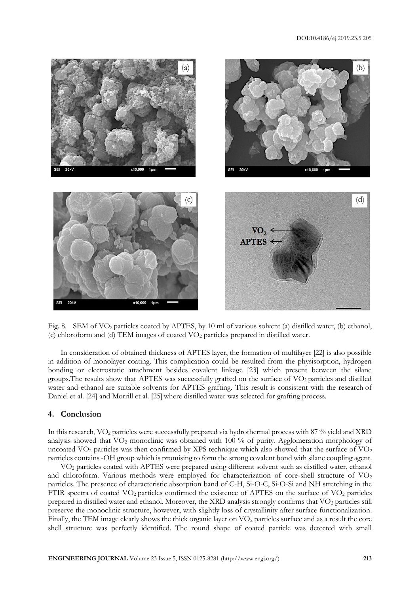

Fig. 8. SEM of VO<sub>2</sub> particles coated by APTES, by 10 ml of various solvent (a) distilled water, (b) ethanol, (c) chloroform and (d) TEM images of coated VO<sup>2</sup> particles prepared in distilled water.

In consideration of obtained thickness of APTES layer, the formation of multilayer [22] is also possible in addition of monolayer coating. This complication could be resulted from the physisorption, hydrogen bonding or electrostatic attachment besides covalent linkage [23] which present between the silane groups.The results show that APTES was successfully grafted on the surface of VO2 particles and distilled water and ethanol are suitable solvents for APTES grafting. This result is consistent with the research of Daniel et al. [24] and Morrill et al. [25] where distilled water was selected for grafting process.

# **4. Conclusion**

In this research, VO<sub>2</sub> particles were successfully prepared via hydrothermal process with 87 % yield and XRD analysis showed that VO<sub>2</sub> monoclinic was obtained with 100 % of purity. Agglomeration morphology of uncoated  $VO<sub>2</sub>$  particles was then confirmed by XPS technique which also showed that the surface of  $VO<sub>2</sub>$ particles contains -OH group which is promising to form the strong covalent bond with silane coupling agent.

VO<sup>2</sup> particles coated with APTES were prepared using different solvent such as distilled water, ethanol and chloroform. Various methods were employed for characterization of core-shell structure of VO<sub>2</sub> particles. The presence of characteristic absorption band of C-H, Si-O-C, Si-O-Si and NH stretching in the FTIR spectra of coated VO<sub>2</sub> particles confirmed the existence of APTES on the surface of VO<sub>2</sub> particles prepared in distilled water and ethanol. Moreover, the XRD analysis strongly confirms that  $VO<sub>2</sub>$  particles still preserve the monoclinic structure, however, with slightly loss of crystallinity after surface functionalization. Finally, the TEM image clearly shows the thick organic layer on  $VO<sub>2</sub>$  particles surface and as a result the core shell structure was perfectly identified. The round shape of coated particle was detected with small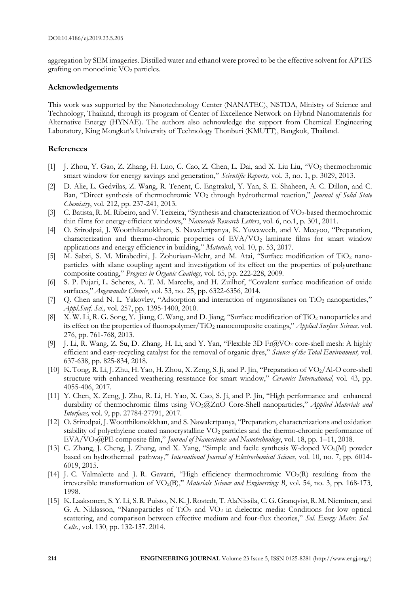aggregation by SEM imageries. Distilled water and ethanol were proved to be the effective solvent for APTES grafting on monoclinic  $\rm{VO}_2$  particles.

#### **Acknowledgements**

This work was supported by the Nanotechnology Center (NANATEC), NSTDA, Ministry of Science and Technology, Thailand, through its program of Center of Excellence Network on Hybrid Nanomaterials for Alternative Energy (HYNAE). The authors also achnowledge the support from Chemical Engineering Laboratory, King Mongkut's University of Technology Thonburi (KMUTT), Bangkok, Thailand.

## **References**

- [1] J. Zhou, Y. Gao, Z. Zhang, H. Luo, C. Cao, Z. Chen, L. Dai, and X. Liu Liu, "VO<sup>2</sup> thermochromic smart window for energy savings and generation," *Scientific Reports,* vol. 3, no. 1, p. 3029, 2013.
- [2] D. Alie, L. Gedvilas, Z. Wang, R. Tenent, C. Engtrakul, Y. Yan, S. E. Shaheen, A. C. Dillon, and C. Ban, "Direct synthesis of thermochromic VO<sup>2</sup> through hydrothermal reaction," *Journal of Solid State Chemistry*, vol. 212, pp. 237-241, 2013.
- [3] C. Batista, R. M. Ribeiro, and V. Teixeira, "Synthesis and characterization of VO2-based thermochromic thin films for energy-efficient windows," *Nanoscale Research Letters*, vol. 6, no.1, p. 301, 2011.
- [4] O. Srirodpai, J. Wootthikanokkhan, S. Nawalertpanya, K. Yuwawech, and V. Meeyoo, "Preparation, characterization and thermo-chromic properties of EVA/VO<sup>2</sup> laminate films for smart window applications and energy efficiency in building," *Materials,* vol. 10, p. 53, 2017.
- [5] M. Sabzi, S. M. Mirabedini, J. Zohuriaan-Mehr, and M. Atai, "Surface modification of TiO<sup>2</sup> nanoparticles with silane coupling agent and investigation of its effect on the properties of polyurethane composite coating," *Progress in Organic Coatings,* vol. 65, pp. 222-228, 2009.
- [6] S. P. Pujari, L. Scheres, A. T. M. Marcelis, and H. Zuilhof, "Covalent surface modification of oxide surfaces," *Angewandte Chemie*, vol. 53, no. 25, pp. 6322-6356, 2014.
- [7] Q. Chen and N. L. Yakovlev, "Adsorption and interaction of organosilanes on TiO<sub>2</sub> nanoparticles," *Appl.Surf. Sci.,* vol. 257, pp. 1395-1400, 2010.
- [8] X. W. Li, R. G. Song, Y. Jiang, C. Wang, and D. Jiang, "Surface modification of TiO<sub>2</sub> nanoparticles and its effect on the properties of fluoropolymer/TiO<sub>2</sub> nanocomposite coatings," *Applied Surface Science*, vol. 276, pp. 761-768, 2013.
- [9] J. Li, R. Wang, Z. Su, D. Zhang, H. Li, and Y. Yan, "Flexible 3D Fr@VO<sup>2</sup> core-shell mesh: A highly efficient and easy-recycling catalyst for the removal of organic dyes," *Science of the Total Environment,* vol. 637-638, pp. 825-834, 2018.
- [10] K.Tong, R. Li, J.Zhu, H.Yao, H.Zhou, X.Zeng, S.Ji, and P. Jin, "Preparation of VO2/Al-O core-shell structure with enhanced weathering resistance for smart window," *Ceramics International,* vol. 43, pp. 4055-406, 2017.
- [11] Y. Chen, X. Zeng, J. Zhu, R. Li, H. Yao, X. Cao, S. Ji, and P. Jin, "High performance and enhanced durability of thermochromic films using VO2@ZnO Core-Shell nanoparticles," *Applied Materials and Interfaces,* vol. 9, pp. 27784-27791, 2017.
- [12] O. Srirodpai, J. Wootthikanokkhan, and S. Nawalertpanya, "Preparation, characterizations and oxidation stability of polyethylene coated nanocrystalline VO<sup>2</sup> particles and the thermo-chromic performance of EVA/VO2@PE composite film," *Journal of Nanoscience and Nanotechnology*, vol. 18, pp. 1–11, 2018.
- [13] C. Zhang, J. Cheng, J. Zhang, and X. Yang, "Simple and facile synthesis W-doped VO<sub>2</sub>(M) powder based on hydrothermal pathway," *International Journal of Electrochemical Science*, vol. 10, no. 7, pp. 6014- 6019, 2015.
- [14] J. C. Valmalette and J. R. Gavarri, "High efficiency thermochromic  $VO_2(R)$  resulting from the irreversible transformation of VO<sub>2</sub>(B)," *Materials Science and Enginerring: B*, vol. 54, no. 3, pp. 168-173, 1998.
- [15] K. Laaksonen, S.Y. Li, S.R. Puisto, N.K.J.Rostedt, T.AlaNissila, C.G.Granqvist,R. M.Nieminen, and G. A. Niklasson, "Nanoparticles of  $TiO<sub>2</sub>$  and  $VO<sub>2</sub>$  in dielectric media: Conditions for low optical scattering, and comparison between effective medium and four-flux theories," *Sol. Energy Mater. Sol.* *Cells.*, vol. 130, pp. 132-137. 2014.